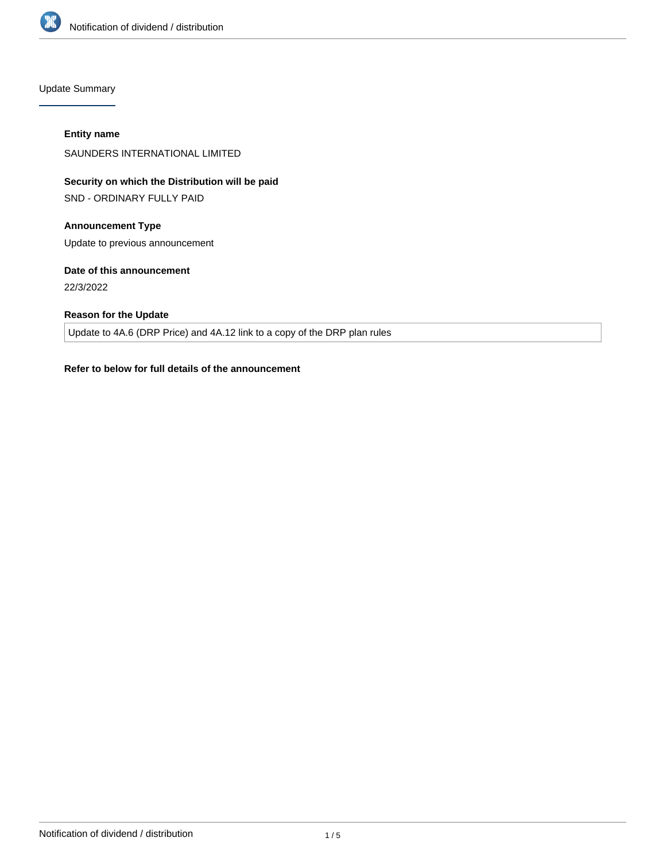

Update Summary

#### **Entity name**

SAUNDERS INTERNATIONAL LIMITED

# **Security on which the Distribution will be paid**

SND - ORDINARY FULLY PAID

# **Announcement Type**

Update to previous announcement

# **Date of this announcement**

22/3/2022

# **Reason for the Update**

Update to 4A.6 (DRP Price) and 4A.12 link to a copy of the DRP plan rules

# **Refer to below for full details of the announcement**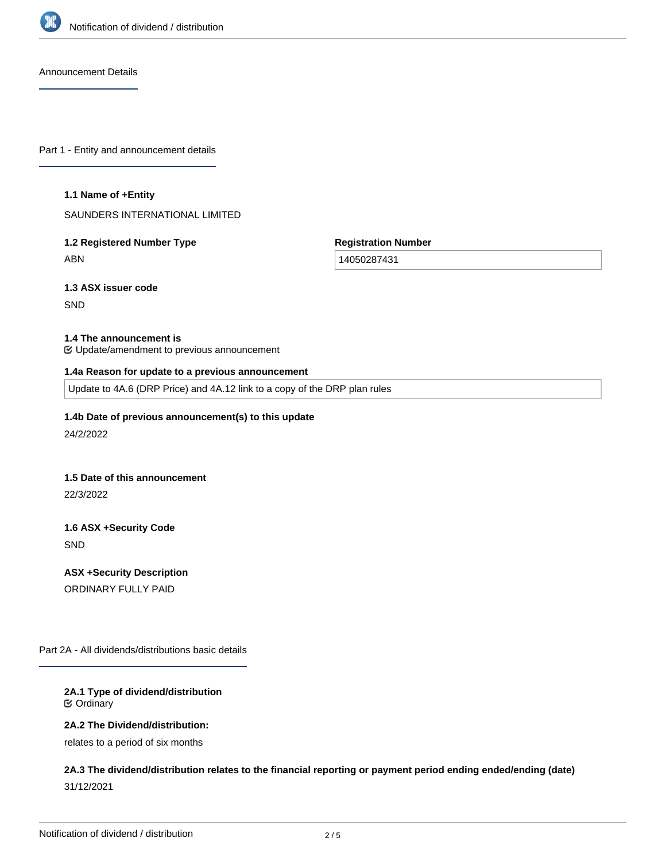

Announcement Details

Part 1 - Entity and announcement details

#### **1.1 Name of +Entity**

SAUNDERS INTERNATIONAL LIMITED

# **1.2 Registered Number Type** ABN

**Registration Number**

14050287431

**1.3 ASX issuer code**

**SND** 

#### **1.4 The announcement is**

Update/amendment to previous announcement

#### **1.4a Reason for update to a previous announcement**

Update to 4A.6 (DRP Price) and 4A.12 link to a copy of the DRP plan rules

# **1.4b Date of previous announcement(s) to this update**

24/2/2022

#### **1.5 Date of this announcement**

22/3/2022

# **1.6 ASX +Security Code** SND

**ASX +Security Description** ORDINARY FULLY PAID

Part 2A - All dividends/distributions basic details

#### **2A.1 Type of dividend/distribution** Ordinary

#### **2A.2 The Dividend/distribution:**

relates to a period of six months

# **2A.3 The dividend/distribution relates to the financial reporting or payment period ending ended/ending (date)** 31/12/2021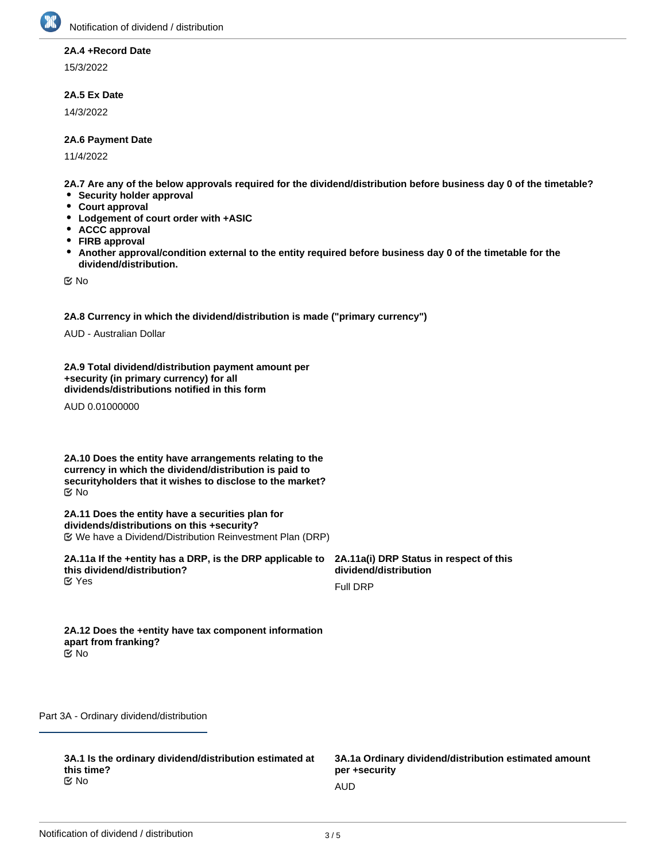

#### **2A.4 +Record Date**

15/3/2022

# **2A.5 Ex Date**

14/3/2022

#### **2A.6 Payment Date**

11/4/2022

**2A.7 Are any of the below approvals required for the dividend/distribution before business day 0 of the timetable?**

- **•** Security holder approval
- **Court approval**
- **Lodgement of court order with +ASIC**
- **ACCC approval**
- **FIRB approval**
- $\bullet$ **Another approval/condition external to the entity required before business day 0 of the timetable for the dividend/distribution.**

No

**2A.8 Currency in which the dividend/distribution is made ("primary currency")**

AUD - Australian Dollar

**2A.9 Total dividend/distribution payment amount per +security (in primary currency) for all dividends/distributions notified in this form**

AUD 0.01000000

**2A.10 Does the entity have arrangements relating to the currency in which the dividend/distribution is paid to securityholders that it wishes to disclose to the market?** No

**2A.11 Does the entity have a securities plan for dividends/distributions on this +security?** We have a Dividend/Distribution Reinvestment Plan (DRP)

**2A.11a If the +entity has a DRP, is the DRP applicable to this dividend/distribution? K** Yes

**2A.11a(i) DRP Status in respect of this dividend/distribution**

Full DRP

**2A.12 Does the +entity have tax component information apart from franking?** No

Part 3A - Ordinary dividend/distribution

**3A.1 Is the ordinary dividend/distribution estimated at this time?** No and the contract of the contract of the contract of the contract of the contract of the contract of the contract of the contract of the contract of the contract of the contract of the contract of the contract of the con

**3A.1a Ordinary dividend/distribution estimated amount per +security**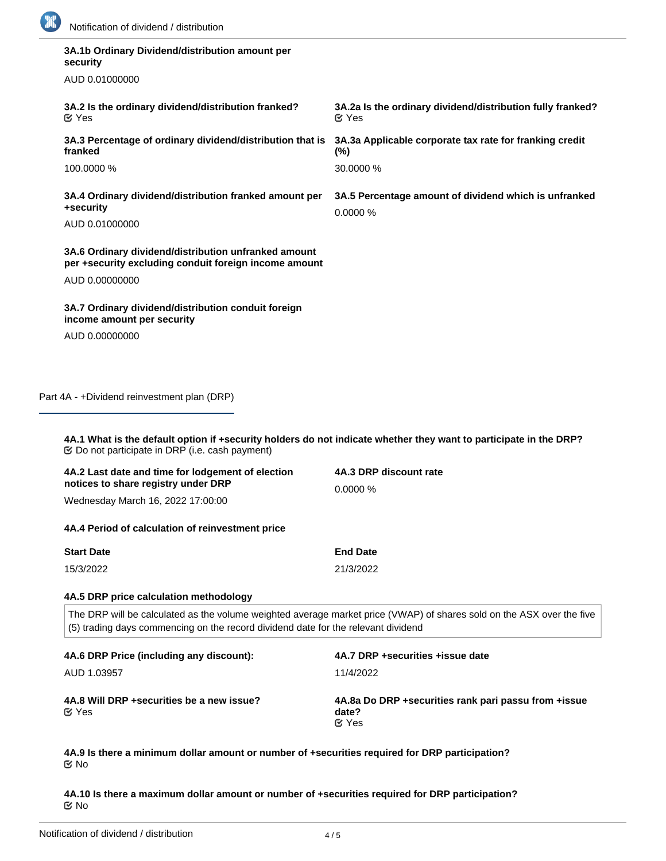

| 3A.1b Ordinary Dividend/distribution amount per<br>security<br>AUD 0.01000000<br>3A.2 Is the ordinary dividend/distribution franked?<br>3A.2a Is the ordinary dividend/distribution fully franked?<br><b></b> ∉ Yes<br>$\mathfrak{C}$ Yes<br>3A.3 Percentage of ordinary dividend/distribution that is<br>3A.3a Applicable corporate tax rate for franking credit<br>franked<br>$(\%)$<br>30.0000 %<br>100.0000 %<br>3A.4 Ordinary dividend/distribution franked amount per<br>3A.5 Percentage amount of dividend which is unfranked<br>+security<br>0.0000 %<br>AUD 0.01000000<br>3A.6 Ordinary dividend/distribution unfranked amount<br>per +security excluding conduit foreign income amount<br>AUD 0.00000000<br>3A.7 Ordinary dividend/distribution conduit foreign<br>income amount per security<br>AUD 0.00000000 |
|---------------------------------------------------------------------------------------------------------------------------------------------------------------------------------------------------------------------------------------------------------------------------------------------------------------------------------------------------------------------------------------------------------------------------------------------------------------------------------------------------------------------------------------------------------------------------------------------------------------------------------------------------------------------------------------------------------------------------------------------------------------------------------------------------------------------------|
|                                                                                                                                                                                                                                                                                                                                                                                                                                                                                                                                                                                                                                                                                                                                                                                                                           |
|                                                                                                                                                                                                                                                                                                                                                                                                                                                                                                                                                                                                                                                                                                                                                                                                                           |
|                                                                                                                                                                                                                                                                                                                                                                                                                                                                                                                                                                                                                                                                                                                                                                                                                           |
|                                                                                                                                                                                                                                                                                                                                                                                                                                                                                                                                                                                                                                                                                                                                                                                                                           |
|                                                                                                                                                                                                                                                                                                                                                                                                                                                                                                                                                                                                                                                                                                                                                                                                                           |
|                                                                                                                                                                                                                                                                                                                                                                                                                                                                                                                                                                                                                                                                                                                                                                                                                           |
|                                                                                                                                                                                                                                                                                                                                                                                                                                                                                                                                                                                                                                                                                                                                                                                                                           |
|                                                                                                                                                                                                                                                                                                                                                                                                                                                                                                                                                                                                                                                                                                                                                                                                                           |
|                                                                                                                                                                                                                                                                                                                                                                                                                                                                                                                                                                                                                                                                                                                                                                                                                           |
|                                                                                                                                                                                                                                                                                                                                                                                                                                                                                                                                                                                                                                                                                                                                                                                                                           |
|                                                                                                                                                                                                                                                                                                                                                                                                                                                                                                                                                                                                                                                                                                                                                                                                                           |
| Part 4A - +Dividend reinvestment plan (DRP)<br>4A.1 What is the default option if +security holders do not indicate whether they want to participate in the DRP?<br>4A.3 DRP discount rate<br>4A.2 Last date and time for lodgement of election                                                                                                                                                                                                                                                                                                                                                                                                                                                                                                                                                                           |
| notices to share registry under DRP<br>0.0000%<br>Wednesday March 16, 2022 17:00:00                                                                                                                                                                                                                                                                                                                                                                                                                                                                                                                                                                                                                                                                                                                                       |
|                                                                                                                                                                                                                                                                                                                                                                                                                                                                                                                                                                                                                                                                                                                                                                                                                           |
| 4A.4 Period of calculation of reinvestment price                                                                                                                                                                                                                                                                                                                                                                                                                                                                                                                                                                                                                                                                                                                                                                          |
|                                                                                                                                                                                                                                                                                                                                                                                                                                                                                                                                                                                                                                                                                                                                                                                                                           |
| <b>Start Date</b><br><b>End Date</b>                                                                                                                                                                                                                                                                                                                                                                                                                                                                                                                                                                                                                                                                                                                                                                                      |
| 15/3/2022<br>21/3/2022                                                                                                                                                                                                                                                                                                                                                                                                                                                                                                                                                                                                                                                                                                                                                                                                    |
|                                                                                                                                                                                                                                                                                                                                                                                                                                                                                                                                                                                                                                                                                                                                                                                                                           |
| 4A.5 DRP price calculation methodology<br>The DRP will be calculated as the volume weighted average market price (VWAP) of shares sold on the ASX over the five                                                                                                                                                                                                                                                                                                                                                                                                                                                                                                                                                                                                                                                           |

| 4A.6 DRP Price (including any discount):                   | 4A.7 DRP + securities + issue date                                              |
|------------------------------------------------------------|---------------------------------------------------------------------------------|
| AUD 1.03957                                                | 11/4/2022                                                                       |
| 4A.8 Will DRP + securities be a new issue?<br>$\alpha$ Yes | 4A.8a Do DRP + securities rank pari passu from + issue<br>date?<br>$\alpha$ Yes |

**4A.9 Is there a minimum dollar amount or number of +securities required for DRP participation?** No

**4A.10 Is there a maximum dollar amount or number of +securities required for DRP participation?** No